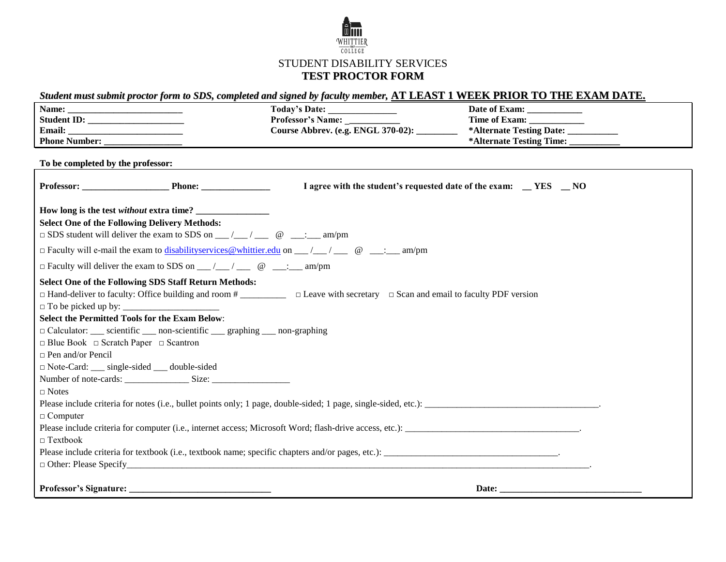

## STUDENT DISABILITY SERVICES **TEST PROCTOR FORM**

## Student must submit proctor form to SDS, completed and signed by faculty member, AT LEAST 1 WEEK PRIOR TO THE EXAM DATE.

|                                                                                                                                                                                                            | Today's Date: _______________                                     | Date of Exam: ______________         |
|------------------------------------------------------------------------------------------------------------------------------------------------------------------------------------------------------------|-------------------------------------------------------------------|--------------------------------------|
|                                                                                                                                                                                                            | Professor's Name:                                                 |                                      |
|                                                                                                                                                                                                            | Course Abbrev. (e.g. ENGL 370-02): _________                      | *Alternate Testing Date: __________  |
|                                                                                                                                                                                                            |                                                                   | *Alternate Testing Time: ___________ |
| To be completed by the professor:                                                                                                                                                                          |                                                                   |                                      |
| Professor: Phone: Phone:                                                                                                                                                                                   | I agree with the student's requested date of the exam: _ YES _ NO |                                      |
| <b>Select One of the Following Delivery Methods:</b><br>$\Box$ SDS student will deliver the exam to SDS on __/__/ __ @ __: __ am/pm                                                                        |                                                                   |                                      |
| $\Box$ Faculty will e-mail the exam to disability services @ whittier.edu on __/__/ ___ @ ___: ___ am/pm                                                                                                   |                                                                   |                                      |
| $\Box$ Faculty will deliver the exam to SDS on __/__/ __ @ ___: __ am/pm                                                                                                                                   |                                                                   |                                      |
| <b>Select One of the Following SDS Staff Return Methods:</b><br>$\Box$ Hand-deliver to faculty: Office building and room # $\Box$ $\Box$ Leave with secretary $\Box$ Scan and email to faculty PDF version |                                                                   |                                      |
| <b>Select the Permitted Tools for the Exam Below:</b>                                                                                                                                                      |                                                                   |                                      |
| $\Box$ Calculator: ____ scientific ____ non-scientific ____ graphing ____ non-graphing                                                                                                                     |                                                                   |                                      |
| $\Box$ Blue Book $\Box$ Scratch Paper $\Box$ Scantron                                                                                                                                                      |                                                                   |                                      |
| $\Box$ Pen and/or Pencil                                                                                                                                                                                   |                                                                   |                                      |
| $\Box$ Note-Card: ___ single-sided ___ double-sided                                                                                                                                                        |                                                                   |                                      |
|                                                                                                                                                                                                            |                                                                   |                                      |
| $\Box$ Notes                                                                                                                                                                                               |                                                                   |                                      |
|                                                                                                                                                                                                            |                                                                   |                                      |
| $\Box$ Computer                                                                                                                                                                                            |                                                                   |                                      |
| Please include criteria for computer (i.e., internet access; Microsoft Word; flash-drive access, etc.):                                                                                                    |                                                                   |                                      |
| $\Box$ Textbook                                                                                                                                                                                            |                                                                   |                                      |
|                                                                                                                                                                                                            |                                                                   |                                      |
| $\Box$ Other: Please Specify $\Box$                                                                                                                                                                        |                                                                   |                                      |
|                                                                                                                                                                                                            |                                                                   | Date: $\_\_$                         |